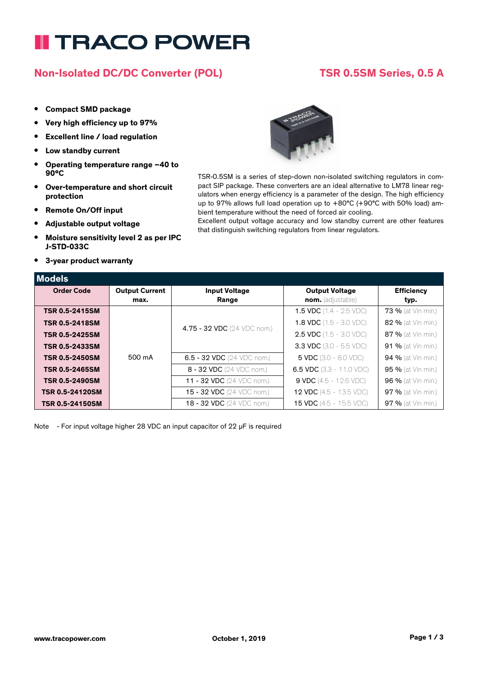# **II TRACO POWER**

## **Non-Isolated DC/DC Converter (POL) TSR 0.5SM Series, 0.5 A**

### **• Compact SMD package**

- **• Very high efficiency up to 97%**
- **• Excellent line / load regulation**
- **• Low standby current**
- **• Operating temperature range –40 to 90°C**
- **• Over-temperature and short circuit protection**
- **• Remote On/Off input**
- **• Adjustable output voltage**
- **• Moisture sensitivity level 2 as per IPC J-STD-033C**
- **• 3-year product warranty**



TSR-0.5SM is a series of step-down non-isolated switching regulators in compact SIP package. These converters are an ideal alternative to LM78 linear regulators when energy efficiency is a parameter of the design. The high efficiency up to 97% allows full load operation up to +80°C (+90°C with 50% load) ambient temperature without the need of forced air cooling.

Excellent output voltage accuracy and low standby current are other features that distinguish switching regulators from linear regulators.

| Models                |                       |                                      |                                          |                    |
|-----------------------|-----------------------|--------------------------------------|------------------------------------------|--------------------|
| <b>Order Code</b>     | <b>Output Current</b> | <b>Input Voltage</b>                 | <b>Output Voltage</b>                    | <b>Efficiency</b>  |
|                       | max.                  | Range                                | nom. (adjustable)                        | typ.               |
| <b>TSR 0.5-2415SM</b> |                       |                                      | <b>1.5 VDC</b> $(1.4 - 2.5 \text{ VDC})$ | 73 % (at Vin min.) |
| <b>TSR 0.5-2418SM</b> |                       | 4.75 - 32 VDC (24 VDC nom.)          | <b>1.8 VDC</b> $(1.5 - 3.0 \text{ VDC})$ | 82 % (at Vin min.) |
| <b>TSR 0.5-2425SM</b> |                       |                                      | <b>2.5 VDC</b> $(1.5 - 3.0 \text{ VDC})$ | 87 % (at Vin min.) |
| <b>TSR 0.5-2433SM</b> |                       |                                      | <b>3.3 VDC</b> (3.0 - 5.5 VDC)           | 91 % (at Vin min.) |
| <b>TSR 0.5-2450SM</b> | 500 mA                | 6.5 - 32 VDC $(24 \text{ VDC nom.})$ | <b>5 VDC</b> $(3.0 - 8.0 \text{ VDC})$   | 94 % (at Vin min.) |
| <b>TSR 0.5-2465SM</b> |                       | 8 - 32 VDC (24 VDC nom.)             | 6.5 VDC $(3.3 - 11.0 \text{ VDC})$       | 95 % (at Vin min.) |
| <b>TSR 0.5-2490SM</b> |                       | 11 - 32 VDC (24 VDC nom.)            | <b>9 VDC</b> (4.5 - 12.6 VDC)            | 96 % (at Vin min.) |
| TSR 0.5-24120SM       |                       | 15 - 32 VDC (24 VDC nom.)            | <b>12 VDC</b> $(4.5 - 13.5 \text{ VDC})$ | 97 % (at Vin min.) |
| TSR 0.5-24150SM       |                       | <b>18 - 32 VDC</b> (24 VDC nom.)     | <b>15 VDC</b> (4.5 - 15.5 VDC)           | 97 % (at Vin min.) |

Note - For input voltage higher 28 VDC an input capacitor of 22 µF is required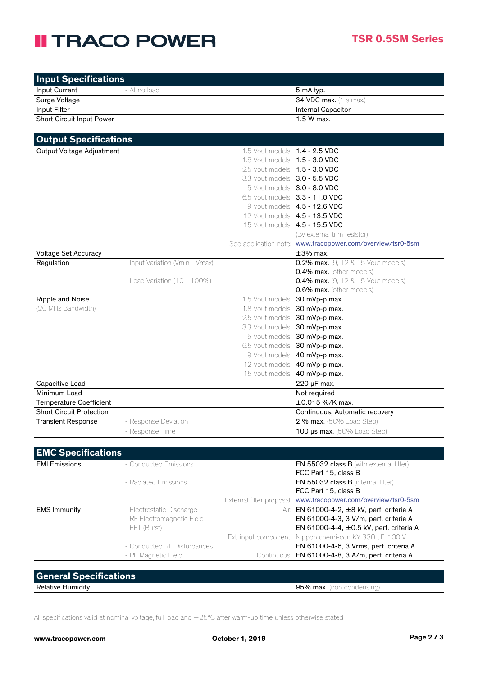## **II TRACO POWER**

| <b>Input Specifications</b>     |                                 |                                       |                                                                |
|---------------------------------|---------------------------------|---------------------------------------|----------------------------------------------------------------|
| Input Current                   | - At no load                    |                                       | 5 mA typ.                                                      |
| Surge Voltage                   |                                 |                                       | 34 VDC max. (1 s max.)                                         |
| Input Filter                    |                                 |                                       | Internal Capacitor                                             |
| Short Circuit Input Power       |                                 |                                       | 1.5 W max.                                                     |
|                                 |                                 |                                       |                                                                |
| <b>Output Specifications</b>    |                                 |                                       |                                                                |
| Output Voltage Adjustment       |                                 | 1.5 Vout models: 1.4 - 2.5 VDC        |                                                                |
|                                 |                                 | 1.8 Vout models: <b>1.5 - 3.0 VDC</b> |                                                                |
|                                 |                                 | 2.5 Vout models: 1.5 - 3.0 VDC        |                                                                |
|                                 |                                 | 3.3 Vout models: 3.0 - 5.5 VDC        |                                                                |
|                                 |                                 |                                       | 5 Vout models: 3.0 - 8.0 VDC                                   |
|                                 |                                 |                                       | 6.5 Vout models: 3.3 - 11.0 VDC                                |
|                                 |                                 |                                       | 9 Vout models: 4.5 - 12.6 VDC                                  |
|                                 |                                 |                                       | 12 Vout models: <b>4.5 - 13.5 VDC</b>                          |
|                                 |                                 |                                       | 15 Vout models: <b>4.5 - 15.5 VDC</b>                          |
|                                 |                                 |                                       | (By external trim resistor)                                    |
|                                 |                                 |                                       | See application note: www.tracopower.com/overview/tsr0-5sm     |
| Voltage Set Accuracy            |                                 |                                       | $\pm 3\%$ max.                                                 |
| Regulation                      | - Input Variation (Vmin - Vmax) |                                       | 0.2% max. (9, 12 & 15 Vout models)                             |
|                                 |                                 |                                       | 0.4% max. (other models)                                       |
|                                 | - Load Variation (10 - 100%)    |                                       | <b>0.4% max.</b> (9, 12 & 15 Vout models)                      |
|                                 |                                 |                                       | 0.6% max. (other models)                                       |
| Ripple and Noise                |                                 |                                       | 1.5 Vout models: 30 mVp-p max.                                 |
| (20 MHz Bandwidth)              |                                 |                                       | 1.8 Vout models: 30 mVp-p max.                                 |
|                                 |                                 |                                       | 2.5 Vout models: 30 mVp-p max.                                 |
|                                 |                                 |                                       | 3.3 Vout models: 30 mVp-p max.                                 |
|                                 |                                 |                                       | 5 Vout models: 30 mVp-p max.                                   |
|                                 |                                 |                                       | 6.5 Vout models: 30 mVp-p max.                                 |
|                                 |                                 |                                       | 9 Vout models: 40 mVp-p max.                                   |
|                                 |                                 |                                       | 12 Vout models: 40 mVp-p max.                                  |
|                                 |                                 |                                       | 15 Vout models: 40 mVp-p max.                                  |
| Capacitive Load                 |                                 |                                       | 220 µF max.                                                    |
| Minimum Load                    |                                 |                                       | Not required                                                   |
| <b>Temperature Coefficient</b>  |                                 |                                       | ±0.015 %/K max.                                                |
| <b>Short Circuit Protection</b> |                                 |                                       | Continuous, Automatic recovery                                 |
| <b>Transient Response</b>       | - Response Deviation            |                                       | 2 % max. (50% Load Step)                                       |
|                                 | - Response Time                 |                                       | 100 us max. (50% Load Step)                                    |
|                                 |                                 |                                       |                                                                |
| <b>EMC Specifications</b>       |                                 |                                       |                                                                |
| <b>EMI Emissions</b>            | - Conducted Emissions           |                                       | <b>EN 55032 class B</b> (with external filter)                 |
|                                 |                                 |                                       | FCC Part 15, class B                                           |
|                                 | - Radiated Emissions            |                                       | EN 55032 class B (internal filter)                             |
|                                 |                                 |                                       | FCC Part 15, class B                                           |
|                                 |                                 |                                       | External filter proposal: www.tracopower.com/overview/tsr0-5sm |
| <b>EMS Immunity</b>             | - Electrostatic Discharge       |                                       | Air: EN 61000-4-2, ±8 kV, perf. criteria A                     |
|                                 | - RF Electromagnetic Field      |                                       | EN 61000-4-3, 3 V/m, perf. criteria A                          |
|                                 | - EFT (Burst)                   |                                       | EN 61000-4-4, ±0.5 kV, perf. criteria A                        |
|                                 |                                 |                                       | Ext. input component: Nippon chemi-con KY 330 µF, 100 V        |
|                                 | - Conducted RF Disturbances     |                                       | EN 61000-4-6, 3 Vrms, perf. criteria A                         |
|                                 | - PF Magnetic Field             |                                       | Continuous: EN 61000-4-8, 3 A/m, perf. criteria A              |
|                                 |                                 |                                       |                                                                |
| <b>General Specifications</b>   |                                 |                                       |                                                                |
|                                 |                                 |                                       |                                                                |

Relative Humidity **Example 2018** 2019 12:30 November 2019 12:30 November 2019 12:30 November 2019 12:30 November 2019 12:30 November 2019 12:30 November 2019 12:30 November 2019 12:30 November 2019 12:30 November 2019 12:3

All specifications valid at nominal voltage, full load and +25°C after warm-up time unless otherwise stated.